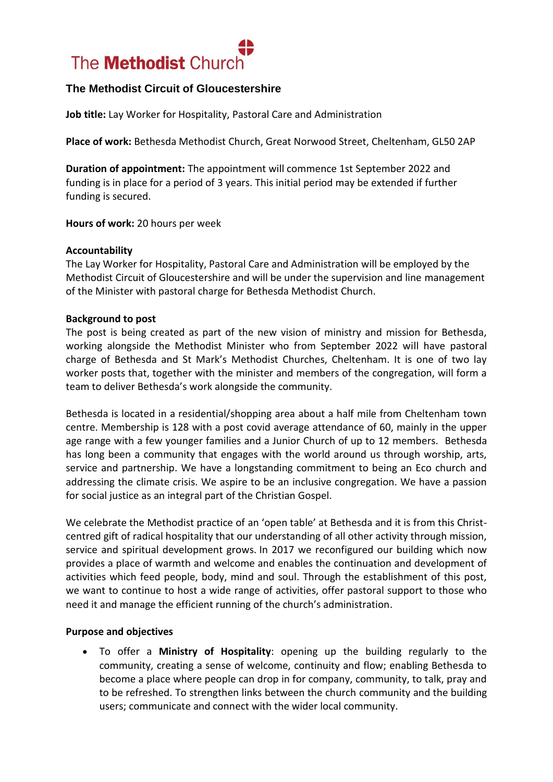

## **The Methodist Circuit of Gloucestershire**

**Job title:** Lay Worker for Hospitality, Pastoral Care and Administration

**Place of work:** Bethesda Methodist Church, Great Norwood Street, Cheltenham, GL50 2AP

**Duration of appointment:** The appointment will commence 1st September 2022 and funding is in place for a period of 3 years. This initial period may be extended if further funding is secured.

**Hours of work:** 20 hours per week

#### **Accountability**

The Lay Worker for Hospitality, Pastoral Care and Administration will be employed by the Methodist Circuit of Gloucestershire and will be under the supervision and line management of the Minister with pastoral charge for Bethesda Methodist Church.

#### **Background to post**

The post is being created as part of the new vision of ministry and mission for Bethesda, working alongside the Methodist Minister who from September 2022 will have pastoral charge of Bethesda and St Mark's Methodist Churches, Cheltenham. It is one of two lay worker posts that, together with the minister and members of the congregation, will form a team to deliver Bethesda's work alongside the community.

Bethesda is located in a residential/shopping area about a half mile from Cheltenham town centre. Membership is 128 with a post covid average attendance of 60, mainly in the upper age range with a few younger families and a Junior Church of up to 12 members. Bethesda has long been a community that engages with the world around us through worship, arts, service and partnership. We have a longstanding commitment to being an Eco church and addressing the climate crisis. We aspire to be an inclusive congregation. We have a passion for social justice as an integral part of the Christian Gospel.

We celebrate the Methodist practice of an 'open table' at Bethesda and it is from this Christcentred gift of radical hospitality that our understanding of all other activity through mission, service and spiritual development grows. In 2017 we reconfigured our building which now provides a place of warmth and welcome and enables the continuation and development of activities which feed people, body, mind and soul. Through the establishment of this post, we want to continue to host a wide range of activities, offer pastoral support to those who need it and manage the efficient running of the church's administration.

#### **Purpose and objectives**

• To offer a **Ministry of Hospitality**: opening up the building regularly to the community, creating a sense of welcome, continuity and flow; enabling Bethesda to become a place where people can drop in for company, community, to talk, pray and to be refreshed. To strengthen links between the church community and the building users; communicate and connect with the wider local community.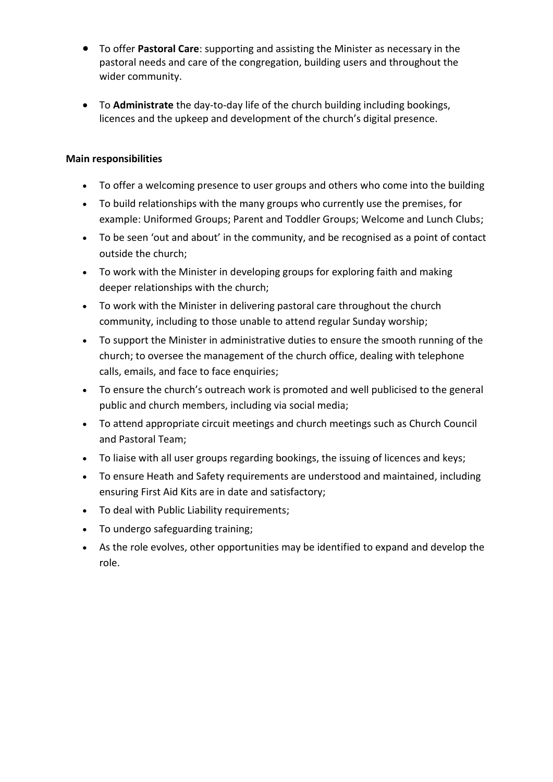- To offer **Pastoral Care**: supporting and assisting the Minister as necessary in the pastoral needs and care of the congregation, building users and throughout the wider community.
- To **Administrate** the day-to-day life of the church building including bookings, licences and the upkeep and development of the church's digital presence.

## **Main responsibilities**

- To offer a welcoming presence to user groups and others who come into the building
- To build relationships with the many groups who currently use the premises, for example: Uniformed Groups; Parent and Toddler Groups; Welcome and Lunch Clubs;
- To be seen 'out and about' in the community, and be recognised as a point of contact outside the church;
- To work with the Minister in developing groups for exploring faith and making deeper relationships with the church;
- To work with the Minister in delivering pastoral care throughout the church community, including to those unable to attend regular Sunday worship;
- To support the Minister in administrative duties to ensure the smooth running of the church; to oversee the management of the church office, dealing with telephone calls, emails, and face to face enquiries;
- To ensure the church's outreach work is promoted and well publicised to the general public and church members, including via social media;
- To attend appropriate circuit meetings and church meetings such as Church Council and Pastoral Team;
- To liaise with all user groups regarding bookings, the issuing of licences and keys;
- To ensure Heath and Safety requirements are understood and maintained, including ensuring First Aid Kits are in date and satisfactory;
- To deal with Public Liability requirements;
- To undergo safeguarding training;
- As the role evolves, other opportunities may be identified to expand and develop the role.